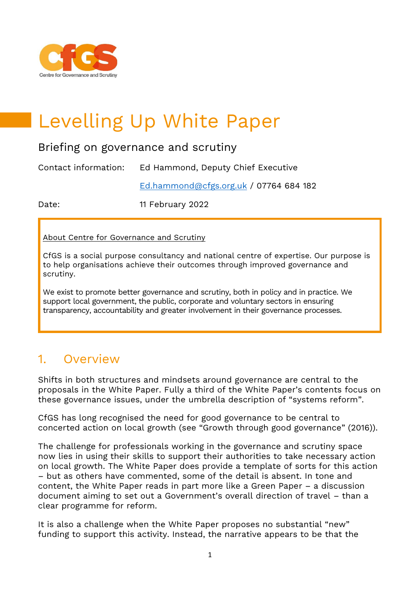

# Levelling Up White Paper

#### Briefing on governance and scrutiny

Contact information: Ed Hammond, Deputy Chief Executive

[Ed.hammond@cfgs.org.uk](mailto:Ed.hammond@cfgs.org.uk) / 07764 684 182

Date: 11 February 2022

About Centre for Governance and Scrutiny

CfGS is a social purpose consultancy and national centre of expertise. Our purpose is to help organisations achieve their outcomes through improved governance and scrutiny.

We exist to promote better governance and scrutiny, both in policy and in practice. We support local government, the public, corporate and voluntary sectors in ensuring transparency, accountability and greater involvement in their governance processes.

#### 1. Overview

Shifts in both structures and mindsets around governance are central to the proposals in the White Paper. Fully a third of the White Paper's contents focus on these governance issues, under the umbrella description of "systems reform".

CfGS has long recognised the need for good governance to be central to concerted action on local growth (see "Growth through good governance" (2016)).

The challenge for professionals working in the governance and scrutiny space now lies in using their skills to support their authorities to take necessary action on local growth. The White Paper does provide a template of sorts for this action – but as others have commented, some of the detail is absent. In tone and content, the White Paper reads in part more like a Green Paper – a discussion document aiming to set out a Government's overall direction of travel – than a clear programme for reform.

It is also a challenge when the White Paper proposes no substantial "new" funding to support this activity. Instead, the narrative appears to be that the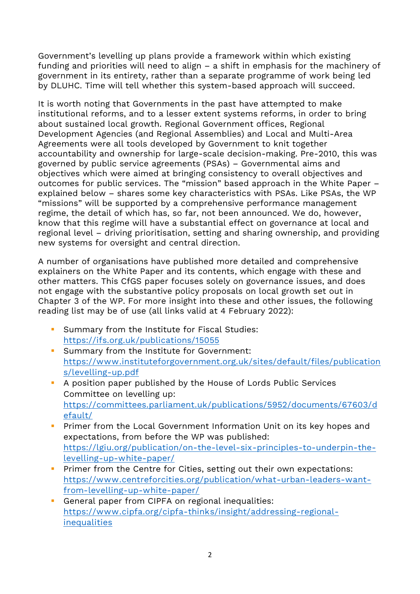Government's levelling up plans provide a framework within which existing funding and priorities will need to align – a shift in emphasis for the machinery of government in its entirety, rather than a separate programme of work being led by DLUHC. Time will tell whether this system-based approach will succeed.

It is worth noting that Governments in the past have attempted to make institutional reforms, and to a lesser extent systems reforms, in order to bring about sustained local growth. Regional Government offices, Regional Development Agencies (and Regional Assemblies) and Local and Multi-Area Agreements were all tools developed by Government to knit together accountability and ownership for large-scale decision-making. Pre-2010, this was governed by public service agreements (PSAs) – Governmental aims and objectives which were aimed at bringing consistency to overall objectives and outcomes for public services. The "mission" based approach in the White Paper – explained below – shares some key characteristics with PSAs. Like PSAs, the WP "missions" will be supported by a comprehensive performance management regime, the detail of which has, so far, not been announced. We do, however, know that this regime will have a substantial effect on governance at local and regional level – driving prioritisation, setting and sharing ownership, and providing new systems for oversight and central direction.

A number of organisations have published more detailed and comprehensive explainers on the White Paper and its contents, which engage with these and other matters. This CfGS paper focuses solely on governance issues, and does not engage with the substantive policy proposals on local growth set out in Chapter 3 of the WP. For more insight into these and other issues, the following reading list may be of use (all links valid at 4 February 2022):

- Summary from the Institute for Fiscal Studies: **<https://ifs.org.uk/publications/15055>**
- **E.** Summary from the Institute for Government: **[https://www.instituteforgovernment.org.uk/sites/default/files/publication](https://www.instituteforgovernment.org.uk/sites/default/files/publications/levelling-up.pdf) [s/levelling-up.pdf](https://www.instituteforgovernment.org.uk/sites/default/files/publications/levelling-up.pdf)**
- A position paper published by the House of Lords Public Services Committee on levelling up: **[https://committees.parliament.uk/publications/5952/documents/67603/d](https://committees.parliament.uk/publications/5952/documents/67603/default/) [efault/](https://committees.parliament.uk/publications/5952/documents/67603/default/)**
- **•** Primer from the Local Government Information Unit on its key hopes and expectations, from before the WP was published: **[https://lgiu.org/publication/on-the-level-six-principles-to-underpin-the](https://lgiu.org/publication/on-the-level-six-principles-to-underpin-the-levelling-up-white-paper/)[levelling-up-white-paper/](https://lgiu.org/publication/on-the-level-six-principles-to-underpin-the-levelling-up-white-paper/)**
- **·** Primer from the Centre for Cities, setting out their own expectations: **[https://www.centreforcities.org/publication/what-urban-leaders-want](https://www.centreforcities.org/publication/what-urban-leaders-want-from-levelling-up-white-paper/)[from-levelling-up-white-paper/](https://www.centreforcities.org/publication/what-urban-leaders-want-from-levelling-up-white-paper/)**
- **EX General paper from CIPFA on regional inequalities: [https://www.cipfa.org/cipfa-thinks/insight/addressing-regional](https://www.cipfa.org/cipfa-thinks/insight/addressing-regional-inequalities)[inequalities](https://www.cipfa.org/cipfa-thinks/insight/addressing-regional-inequalities)**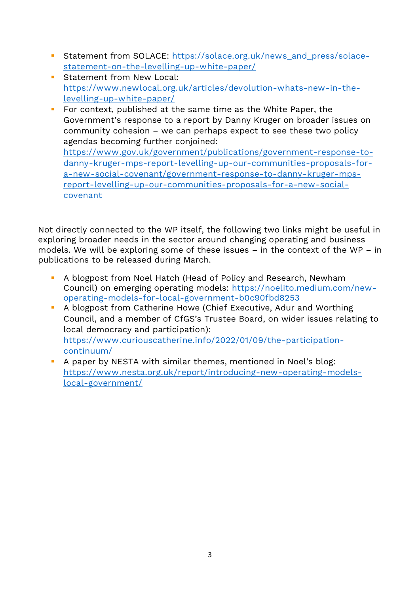- **EXECUTE: [https://solace.org.uk/news\\_and\\_press/solace](https://solace.org.uk/news_and_press/solace-statement-on-the-levelling-up-white-paper/)[statement-on-the-levelling-up-white-paper/](https://solace.org.uk/news_and_press/solace-statement-on-the-levelling-up-white-paper/)**
- **EXECUTE:** Statement from New Local: **[https://www.newlocal.org.uk/articles/devolution-whats-new-in-the](https://www.newlocal.org.uk/articles/devolution-whats-new-in-the-levelling-up-white-paper/)[levelling-up-white-paper/](https://www.newlocal.org.uk/articles/devolution-whats-new-in-the-levelling-up-white-paper/)**
- For context, published at the same time as the White Paper, the Government's response to a report by Danny Kruger on broader issues on community cohesion – we can perhaps expect to see these two policy agendas becoming further conjoined: **[https://www.gov.uk/government/publications/government-response-to](https://www.gov.uk/government/publications/government-response-to-danny-kruger-mps-report-levelling-up-our-communities-proposals-for-a-new-social-covenant/government-response-to-danny-kruger-mps-report-levelling-up-our-communities-proposals-for-a-new-social-covenant)[danny-kruger-mps-report-levelling-up-our-communities-proposals-for](https://www.gov.uk/government/publications/government-response-to-danny-kruger-mps-report-levelling-up-our-communities-proposals-for-a-new-social-covenant/government-response-to-danny-kruger-mps-report-levelling-up-our-communities-proposals-for-a-new-social-covenant)[a-new-social-covenant/government-response-to-danny-kruger-mps](https://www.gov.uk/government/publications/government-response-to-danny-kruger-mps-report-levelling-up-our-communities-proposals-for-a-new-social-covenant/government-response-to-danny-kruger-mps-report-levelling-up-our-communities-proposals-for-a-new-social-covenant)[report-levelling-up-our-communities-proposals-for-a-new-social-](https://www.gov.uk/government/publications/government-response-to-danny-kruger-mps-report-levelling-up-our-communities-proposals-for-a-new-social-covenant/government-response-to-danny-kruger-mps-report-levelling-up-our-communities-proposals-for-a-new-social-covenant)**

Not directly connected to the WP itself, the following two links might be useful in exploring broader needs in the sector around changing operating and business models. We will be exploring some of these issues – in the context of the WP – in publications to be released during March.

**[covenant](https://www.gov.uk/government/publications/government-response-to-danny-kruger-mps-report-levelling-up-our-communities-proposals-for-a-new-social-covenant/government-response-to-danny-kruger-mps-report-levelling-up-our-communities-proposals-for-a-new-social-covenant)**

- A blogpost from Noel Hatch (Head of Policy and Research, Newham Council) on emerging operating models: **[https://noelito.medium.com/new](https://noelito.medium.com/new-operating-models-for-local-government-b0c90fbd8253)[operating-models-for-local-government-b0c90fbd8253](https://noelito.medium.com/new-operating-models-for-local-government-b0c90fbd8253)**
- A blogpost from Catherine Howe (Chief Executive, Adur and Worthing Council, and a member of CfGS's Trustee Board, on wider issues relating to local democracy and participation): **[https://www.curiouscatherine.info/2022/01/09/the-participation](https://www.curiouscatherine.info/2022/01/09/the-participation-continuum/)[continuum/](https://www.curiouscatherine.info/2022/01/09/the-participation-continuum/)**
- A paper by NESTA with similar themes, mentioned in Noel's blog: **[https://www.nesta.org.uk/report/introducing-new-operating-models](https://www.nesta.org.uk/report/introducing-new-operating-models-local-government/)[local-government/](https://www.nesta.org.uk/report/introducing-new-operating-models-local-government/)**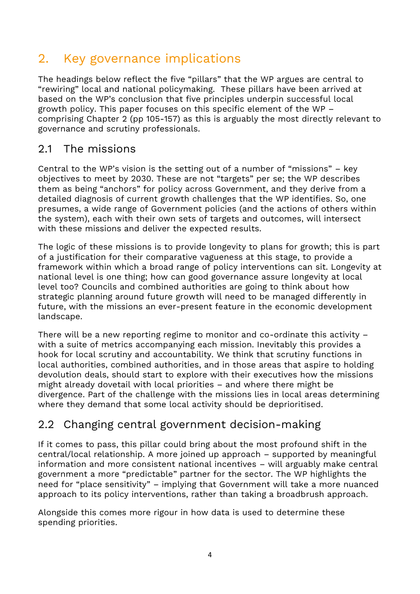## 2. Key governance implications

The headings below reflect the five "pillars" that the WP argues are central to "rewiring" local and national policymaking. These pillars have been arrived at based on the WP's conclusion that five principles underpin successful local growth policy. This paper focuses on this specific element of the WP – comprising Chapter 2 (pp 105-157) as this is arguably the most directly relevant to governance and scrutiny professionals.

#### 2.1 The missions

Central to the WP's vision is the setting out of a number of "missions" – key objectives to meet by 2030. These are not "targets" per se; the WP describes them as being "anchors" for policy across Government, and they derive from a detailed diagnosis of current growth challenges that the WP identifies. So, one presumes, a wide range of Government policies (and the actions of others within the system), each with their own sets of targets and outcomes, will intersect with these missions and deliver the expected results.

The logic of these missions is to provide longevity to plans for growth; this is part of a justification for their comparative vagueness at this stage, to provide a framework within which a broad range of policy interventions can sit. Longevity at national level is one thing; how can good governance assure longevity at local level too? Councils and combined authorities are going to think about how strategic planning around future growth will need to be managed differently in future, with the missions an ever-present feature in the economic development landscape.

There will be a new reporting regime to monitor and co-ordinate this activity – with a suite of metrics accompanying each mission. Inevitably this provides a hook for local scrutiny and accountability. We think that scrutiny functions in local authorities, combined authorities, and in those areas that aspire to holding devolution deals, should start to explore with their executives how the missions might already dovetail with local priorities – and where there might be divergence. Part of the challenge with the missions lies in local areas determining where they demand that some local activity should be deprioritised.

#### 2.2 Changing central government decision-making

If it comes to pass, this pillar could bring about the most profound shift in the central/local relationship. A more joined up approach – supported by meaningful information and more consistent national incentives – will arguably make central government a more "predictable" partner for the sector. The WP highlights the need for "place sensitivity" – implying that Government will take a more nuanced approach to its policy interventions, rather than taking a broadbrush approach.

Alongside this comes more rigour in how data is used to determine these spending priorities.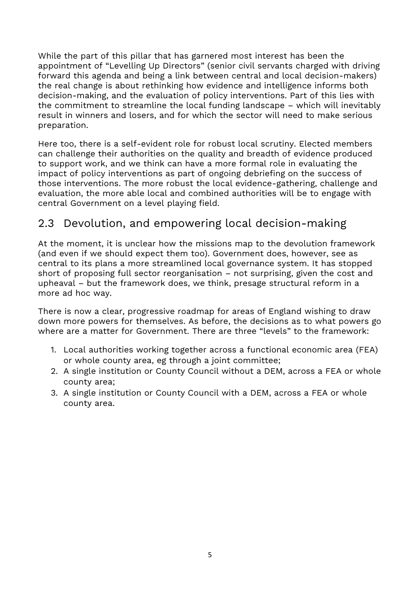While the part of this pillar that has garnered most interest has been the appointment of "Levelling Up Directors" (senior civil servants charged with driving forward this agenda and being a link between central and local decision-makers) the real change is about rethinking how evidence and intelligence informs both decision-making, and the evaluation of policy interventions. Part of this lies with the commitment to streamline the local funding landscape – which will inevitably result in winners and losers, and for which the sector will need to make serious preparation.

Here too, there is a self-evident role for robust local scrutiny. Elected members can challenge their authorities on the quality and breadth of evidence produced to support work, and we think can have a more formal role in evaluating the impact of policy interventions as part of ongoing debriefing on the success of those interventions. The more robust the local evidence-gathering, challenge and evaluation, the more able local and combined authorities will be to engage with central Government on a level playing field.

#### 2.3 Devolution, and empowering local decision-making

At the moment, it is unclear how the missions map to the devolution framework (and even if we should expect them too). Government does, however, see as central to its plans a more streamlined local governance system. It has stopped short of proposing full sector reorganisation – not surprising, given the cost and upheaval – but the framework does, we think, presage structural reform in a more ad hoc way.

There is now a clear, progressive roadmap for areas of England wishing to draw down more powers for themselves. As before, the decisions as to what powers go where are a matter for Government. There are three "levels" to the framework:

- 1. Local authorities working together across a functional economic area (FEA) or whole county area, eg through a joint committee;
- 2. A single institution or County Council without a DEM, across a FEA or whole county area;
- 3. A single institution or County Council with a DEM, across a FEA or whole county area.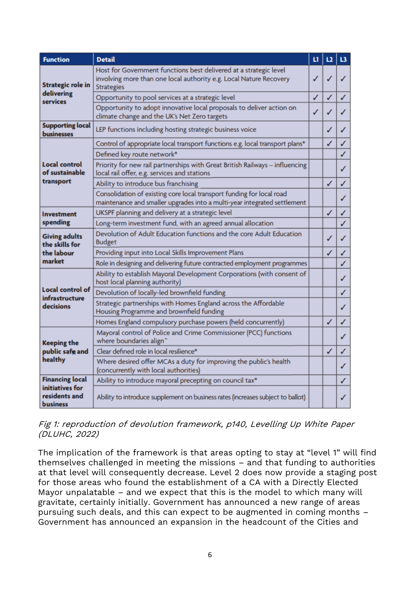| <b>Function</b>                                                | <b>Detail</b>                                                                                                                                                | u | L2           | L3 |
|----------------------------------------------------------------|--------------------------------------------------------------------------------------------------------------------------------------------------------------|---|--------------|----|
| <b>Strategic role in</b><br>delivering<br>services             | Host for Government functions best delivered at a strategic level<br>involving more than one local authority e.g. Local Nature Recovery<br><b>Strategies</b> | ℐ | ✓            |    |
|                                                                | Opportunity to pool services at a strategic level                                                                                                            | ✓ | ✓            |    |
|                                                                | Opportunity to adopt innovative local proposals to deliver action on<br>climate change and the UK's Net Zero targets                                         | ✓ | ✓            |    |
| <b>Supporting local</b><br><b>businesses</b>                   | LEP functions including hosting strategic business voice                                                                                                     |   | ✓            | J  |
| Local control<br>of sustainable<br>transport                   | Control of appropriate local transport functions e.g. local transport plans*                                                                                 |   | ✓            | ✓  |
|                                                                | Defined key route network*                                                                                                                                   |   |              | ✓  |
|                                                                | Priority for new rail partnerships with Great British Railways - influencing<br>local rail offer, e.g. services and stations                                 |   |              | ✓  |
|                                                                | Ability to introduce bus franchising                                                                                                                         |   | $\checkmark$ | ✓  |
|                                                                | Consolidation of existing core local transport funding for local road<br>maintenance and smaller upgrades into a multi-year integrated settlement            |   |              | ✓  |
| <b>Investment</b><br>spending                                  | UKSPF planning and delivery at a strategic level                                                                                                             |   | ✓            | ✓  |
|                                                                | Long-term investment fund, with an agreed annual allocation                                                                                                  |   |              | ✓  |
| <b>Giving adults</b><br>the skills for<br>the labour<br>market | Devolution of Adult Education functions and the core Adult Education<br><b>Budget</b>                                                                        |   | ✓            | ℐ  |
|                                                                | Providing input into Local Skills Improvement Plans                                                                                                          |   | ✓            | ✓  |
|                                                                | Role in designing and delivering future contracted employment programmes                                                                                     |   |              | ✓  |
| Local control of<br>infrastructure<br>decisions                | Ability to establish Mayoral Development Corporations (with consent of<br>host local planning authority)                                                     |   |              | ✓  |
|                                                                | Devolution of locally-led brownfield funding                                                                                                                 |   |              | ✓  |
|                                                                | Strategic partnerships with Homes England across the Affordable<br>Housing Programme and brownfield funding                                                  |   |              | ✓  |
|                                                                | Homes England compulsory purchase powers (held concurrently)                                                                                                 |   | ✓            | ✓  |
| <b>Keeping the</b><br>public safe and<br>healthy               | Mayoral control of Police and Crime Commissioner (PCC) functions<br>where boundaries align^                                                                  |   |              | ✓  |
|                                                                | Clear defined role in local resilience*                                                                                                                      |   | $\checkmark$ | ✓  |
|                                                                | Where desired offer MCAs a duty for improving the public's health<br>(concurrently with local authorities)                                                   |   |              | ✓  |
| <b>Financing local</b>                                         | Ability to introduce mayoral precepting on council tax*                                                                                                      |   |              | ✓  |
| initiatives for<br>residents and<br>business                   | Ability to introduce supplement on business rates (increases subject to ballot)                                                                              |   |              |    |

Fig 1: reproduction of devolution framework, p140, Levelling Up White Paper (DLUHC, 2022)

The implication of the framework is that areas opting to stay at "level 1" will find themselves challenged in meeting the missions – and that funding to authorities at that level will consequently decrease. Level 2 does now provide a staging post for those areas who found the establishment of a CA with a Directly Elected Mayor unpalatable – and we expect that this is the model to which many will gravitate, certainly initially. Government has announced a new range of areas pursuing such deals, and this can expect to be augmented in coming months – Government has announced an expansion in the headcount of the Cities and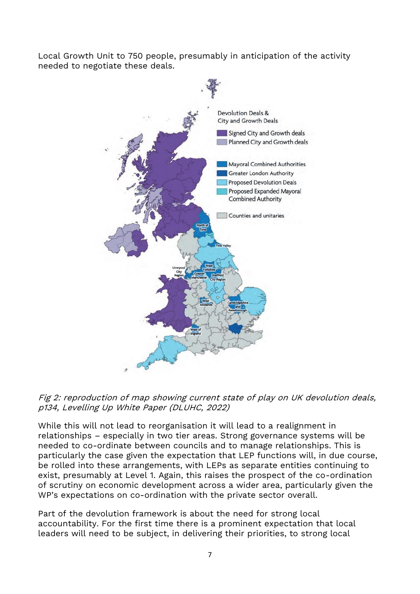Local Growth Unit to 750 people, presumably in anticipation of the activity needed to negotiate these deals.





While this will not lead to reorganisation it will lead to a realignment in relationships – especially in two tier areas. Strong governance systems will be needed to co-ordinate between councils and to manage relationships. This is particularly the case given the expectation that LEP functions will, in due course, be rolled into these arrangements, with LEPs as separate entities continuing to exist, presumably at Level 1. Again, this raises the prospect of the co-ordination of scrutiny on economic development across a wider area, particularly given the WP's expectations on co-ordination with the private sector overall.

Part of the devolution framework is about the need for strong local accountability. For the first time there is a prominent expectation that local leaders will need to be subject, in delivering their priorities, to strong local